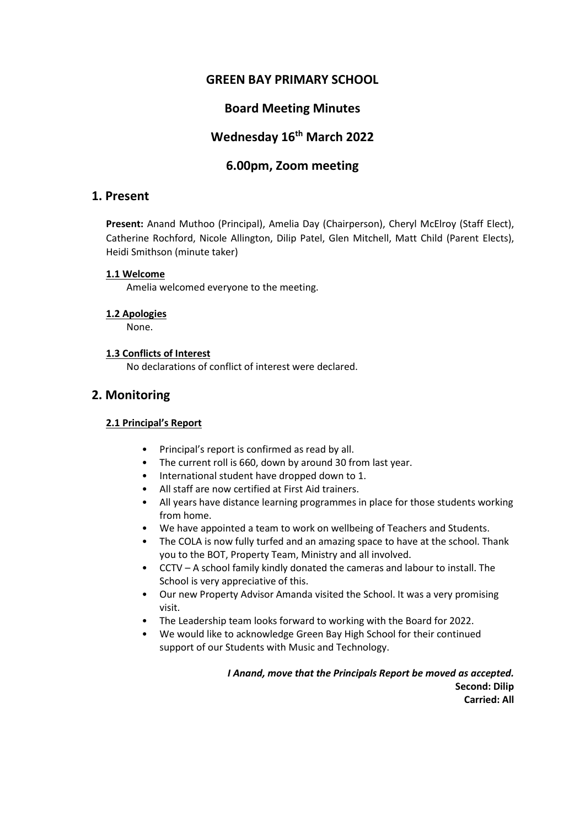## **GREEN BAY PRIMARY SCHOOL**

# **Board Meeting Minutes**

# **Wednesday 16th March 2022**

# **6.00pm, Zoom meeting**

## **1. Present**

**Present:** Anand Muthoo (Principal), Amelia Day (Chairperson), Cheryl McElroy (Staff Elect), Catherine Rochford, Nicole Allington, Dilip Patel, Glen Mitchell, Matt Child (Parent Elects), Heidi Smithson (minute taker)

#### **1.1 Welcome**

Amelia welcomed everyone to the meeting.

#### **1.2 Apologies**

None.

#### **1.3 Conflicts of Interest**

No declarations of conflict of interest were declared.

## **2. Monitoring**

#### **2.1 Principal's Report**

- Principal's report is confirmed as read by all.
- The current roll is 660, down by around 30 from last year.
- International student have dropped down to 1.
- All staff are now certified at First Aid trainers.
- All years have distance learning programmes in place for those students working from home.
- We have appointed a team to work on wellbeing of Teachers and Students.
- The COLA is now fully turfed and an amazing space to have at the school. Thank you to the BOT, Property Team, Ministry and all involved.
- CCTV A school family kindly donated the cameras and labour to install. The School is very appreciative of this.
- Our new Property Advisor Amanda visited the School. It was a very promising visit.
- The Leadership team looks forward to working with the Board for 2022.
- We would like to acknowledge Green Bay High School for their continued support of our Students with Music and Technology.

*I Anand, move that the Principals Report be moved as accepted.* **Second: Dilip Carried: All**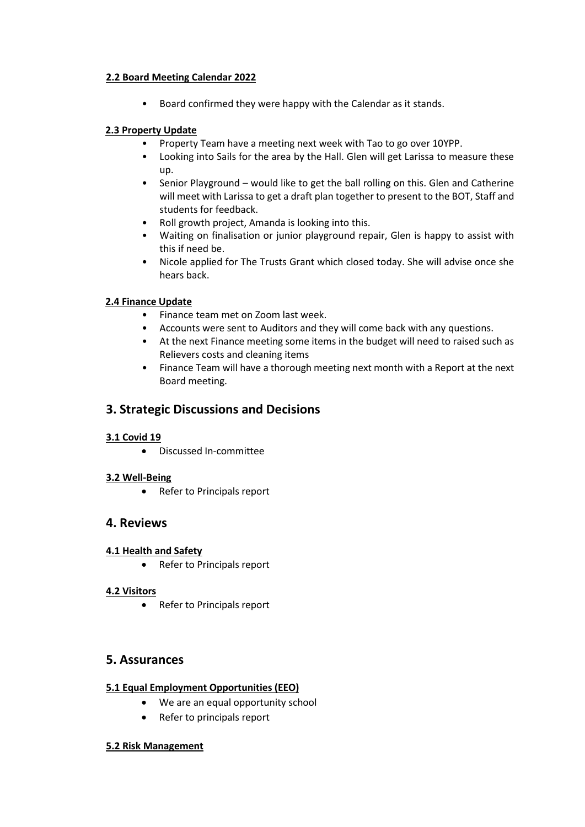#### **2.2 Board Meeting Calendar 2022**

• Board confirmed they were happy with the Calendar as it stands.

### **2.3 Property Update**

- Property Team have a meeting next week with Tao to go over 10YPP.
- Looking into Sails for the area by the Hall. Glen will get Larissa to measure these up.
- Senior Playground would like to get the ball rolling on this. Glen and Catherine will meet with Larissa to get a draft plan together to present to the BOT, Staff and students for feedback.
- Roll growth project, Amanda is looking into this.
- Waiting on finalisation or junior playground repair, Glen is happy to assist with this if need be.
- Nicole applied for The Trusts Grant which closed today. She will advise once she hears back.

### **2.4 Finance Update**

- Finance team met on Zoom last week.
- Accounts were sent to Auditors and they will come back with any questions.
- At the next Finance meeting some items in the budget will need to raised such as Relievers costs and cleaning items
- Finance Team will have a thorough meeting next month with a Report at the next Board meeting.

## **3. Strategic Discussions and Decisions**

#### **3.1 Covid 19**

• Discussed In-committee

#### **3.2 Well-Being**

• Refer to Principals report

## **4. Reviews**

#### **4.1 Health and Safety**

• Refer to Principals report

#### **4.2 Visitors**

• Refer to Principals report

## **5. Assurances**

#### **5.1 Equal Employment Opportunities (EEO)**

- We are an equal opportunity school
- Refer to principals report

#### **5.2 Risk Management**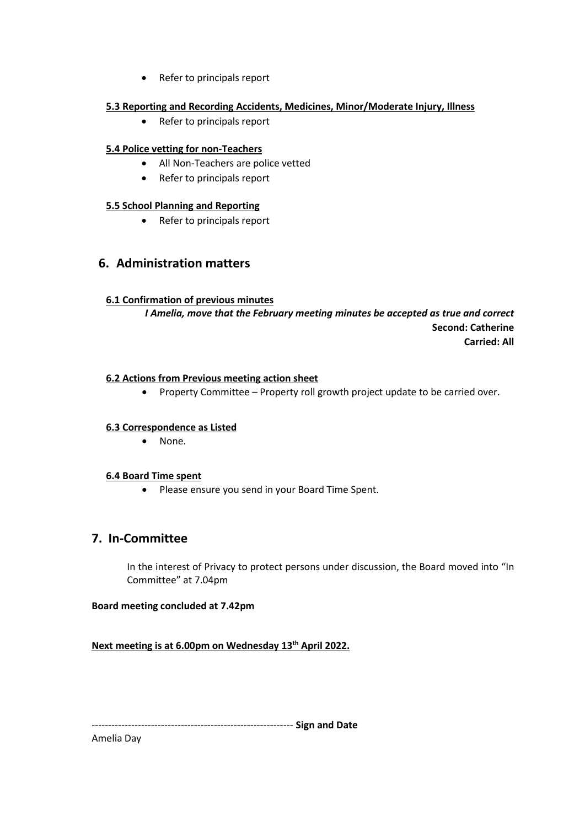• Refer to principals report

#### **5.3 Reporting and Recording Accidents, Medicines, Minor/Moderate Injury, Illness**

• Refer to principals report

### **5.4 Police vetting for non-Teachers**

- All Non-Teachers are police vetted
- Refer to principals report

#### **5.5 School Planning and Reporting**

• Refer to principals report

# **6. Administration matters**

#### **6.1 Confirmation of previous minutes**

*I Amelia, move that the February meeting minutes be accepted as true and correct* **Second: Catherine Carried: All**

#### **6.2 Actions from Previous meeting action sheet**

• Property Committee – Property roll growth project update to be carried over.

#### **6.3 Correspondence as Listed**

• None.

#### **6.4 Board Time spent**

• Please ensure you send in your Board Time Spent.

# **7. In-Committee**

In the interest of Privacy to protect persons under discussion, the Board moved into "In Committee" at 7.04pm

#### **Board meeting concluded at 7.42pm**

**Next meeting is at 6.00pm on Wednesday 13th April 2022.** 

------------------------------------------------------------- **Sign and Date**

Amelia Day